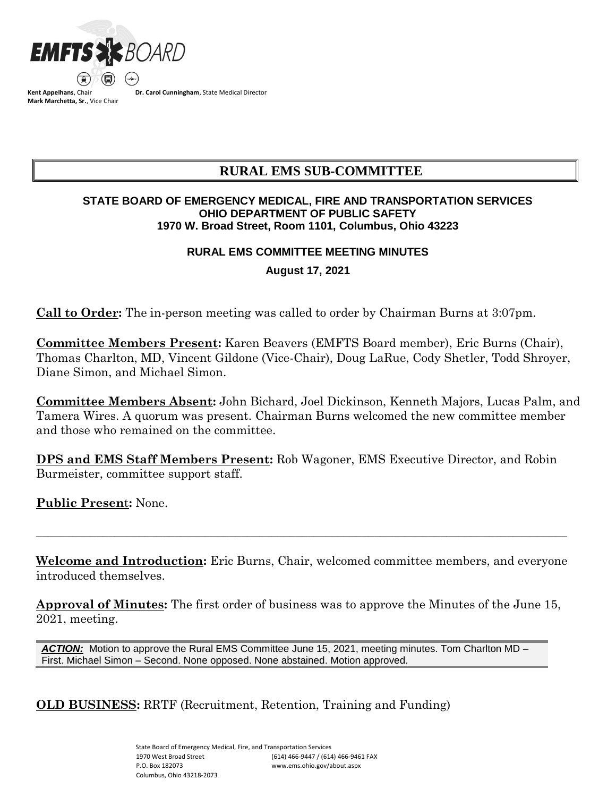

**Kent Appelhans**, Chair **Mark Marchetta, Sr.**, Vice Chair **Dr. Carol Cunningham**, State Medical Director

# **RURAL EMS SUB-COMMITTEE**

### **STATE BOARD OF EMERGENCY MEDICAL, FIRE AND TRANSPORTATION SERVICES OHIO DEPARTMENT OF PUBLIC SAFETY 1970 W. Broad Street, Room 1101, Columbus, Ohio 43223**

### **RURAL EMS COMMITTEE MEETING MINUTES**

**August 17, 2021**

**Call to Order:** The in-person meeting was called to order by Chairman Burns at 3:07pm.

**Committee Members Present:** Karen Beavers (EMFTS Board member), Eric Burns (Chair), Thomas Charlton, MD, Vincent Gildone (Vice-Chair), Doug LaRue, Cody Shetler, Todd Shroyer, Diane Simon, and Michael Simon.

**Committee Members Absent:** John Bichard, Joel Dickinson, Kenneth Majors, Lucas Palm, and Tamera Wires. A quorum was present. Chairman Burns welcomed the new committee member and those who remained on the committee.

**DPS and EMS Staff Members Present:** Rob Wagoner, EMS Executive Director, and Robin Burmeister, committee support staff.

**Public Presen**t**:** None.

**Welcome and Introduction:** Eric Burns, Chair, welcomed committee members, and everyone introduced themselves.

 $\_$  ,  $\_$  ,  $\_$  ,  $\_$  ,  $\_$  ,  $\_$  ,  $\_$  ,  $\_$  ,  $\_$  ,  $\_$  ,  $\_$  ,  $\_$  ,  $\_$  ,  $\_$  ,  $\_$  ,  $\_$  ,  $\_$  ,  $\_$  ,  $\_$  ,  $\_$  ,  $\_$  ,  $\_$  ,  $\_$  ,  $\_$  ,  $\_$  ,  $\_$  ,  $\_$  ,  $\_$  ,  $\_$  ,  $\_$  ,  $\_$  ,  $\_$  ,  $\_$  ,  $\_$  ,  $\_$  ,  $\_$  ,  $\_$  ,

**Approval of Minutes:** The first order of business was to approve the Minutes of the June 15, 2021, meeting.

*ACTION:* Motion to approve the Rural EMS Committee June 15, 2021, meeting minutes. Tom Charlton MD – First. Michael Simon – Second. None opposed. None abstained. Motion approved.

**OLD BUSINESS:** RRTF (Recruitment, Retention, Training and Funding)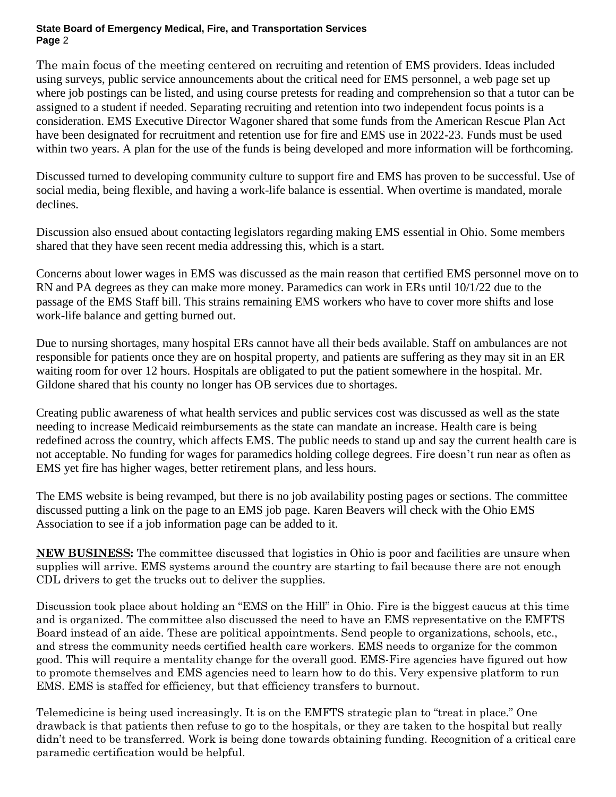#### **State Board of Emergency Medical, Fire, and Transportation Services Page** 2

The main focus of the meeting centered on recruiting and retention of EMS providers. Ideas included using surveys, public service announcements about the critical need for EMS personnel, a web page set up where job postings can be listed, and using course pretests for reading and comprehension so that a tutor can be assigned to a student if needed. Separating recruiting and retention into two independent focus points is a consideration. EMS Executive Director Wagoner shared that some funds from the American Rescue Plan Act have been designated for recruitment and retention use for fire and EMS use in 2022-23. Funds must be used within two years. A plan for the use of the funds is being developed and more information will be forthcoming.

Discussed turned to developing community culture to support fire and EMS has proven to be successful. Use of social media, being flexible, and having a work-life balance is essential. When overtime is mandated, morale declines.

Discussion also ensued about contacting legislators regarding making EMS essential in Ohio. Some members shared that they have seen recent media addressing this, which is a start.

Concerns about lower wages in EMS was discussed as the main reason that certified EMS personnel move on to RN and PA degrees as they can make more money. Paramedics can work in ERs until 10/1/22 due to the passage of the EMS Staff bill. This strains remaining EMS workers who have to cover more shifts and lose work-life balance and getting burned out.

Due to nursing shortages, many hospital ERs cannot have all their beds available. Staff on ambulances are not responsible for patients once they are on hospital property, and patients are suffering as they may sit in an ER waiting room for over 12 hours. Hospitals are obligated to put the patient somewhere in the hospital. Mr. Gildone shared that his county no longer has OB services due to shortages.

Creating public awareness of what health services and public services cost was discussed as well as the state needing to increase Medicaid reimbursements as the state can mandate an increase. Health care is being redefined across the country, which affects EMS. The public needs to stand up and say the current health care is not acceptable. No funding for wages for paramedics holding college degrees. Fire doesn't run near as often as EMS yet fire has higher wages, better retirement plans, and less hours.

The EMS website is being revamped, but there is no job availability posting pages or sections. The committee discussed putting a link on the page to an EMS job page. Karen Beavers will check with the Ohio EMS Association to see if a job information page can be added to it.

**NEW BUSINESS:** The committee discussed that logistics in Ohio is poor and facilities are unsure when supplies will arrive. EMS systems around the country are starting to fail because there are not enough CDL drivers to get the trucks out to deliver the supplies.

Discussion took place about holding an "EMS on the Hill" in Ohio. Fire is the biggest caucus at this time and is organized. The committee also discussed the need to have an EMS representative on the EMFTS Board instead of an aide. These are political appointments. Send people to organizations, schools, etc., and stress the community needs certified health care workers. EMS needs to organize for the common good. This will require a mentality change for the overall good. EMS-Fire agencies have figured out how to promote themselves and EMS agencies need to learn how to do this. Very expensive platform to run EMS. EMS is staffed for efficiency, but that efficiency transfers to burnout.

Telemedicine is being used increasingly. It is on the EMFTS strategic plan to "treat in place." One drawback is that patients then refuse to go to the hospitals, or they are taken to the hospital but really didn't need to be transferred. Work is being done towards obtaining funding. Recognition of a critical care paramedic certification would be helpful.